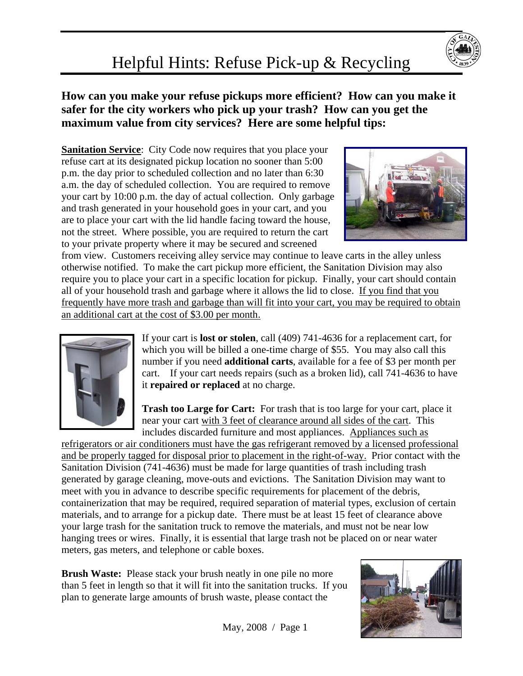## Helpful Hints: Refuse Pick-up & Recycling

## **How can you make your refuse pickups more efficient? How can you make it safer for the city workers who pick up your trash? How can you get the maximum value from city services? Here are some helpful tips:**

**Sanitation Service**: City Code now requires that you place your refuse cart at its designated pickup location no sooner than 5:00 p.m. the day prior to scheduled collection and no later than 6:30 a.m. the day of scheduled collection. You are required to remove your cart by 10:00 p.m. the day of actual collection. Only garbage and trash generated in your household goes in your cart, and you are to place your cart with the lid handle facing toward the house, not the street. Where possible, you are required to return the cart to your private property where it may be secured and screened



from view. Customers receiving alley service may continue to leave carts in the alley unless otherwise notified. To make the cart pickup more efficient, the Sanitation Division may also require you to place your cart in a specific location for pickup. Finally, your cart should contain all of your household trash and garbage where it allows the lid to close. If you find that you frequently have more trash and garbage than will fit into your cart, you may be required to obtain an additional cart at the cost of \$3.00 per month.



If your cart is **lost or stolen**, call (409) 741-4636 for a replacement cart, for which you will be billed a one-time charge of \$55. You may also call this number if you need **additional carts**, available for a fee of \$3 per month per cart. If your cart needs repairs (such as a broken lid), call 741-4636 to have it **repaired or replaced** at no charge.

**Trash too Large for Cart:** For trash that is too large for your cart, place it near your cart with 3 feet of clearance around all sides of the cart. This includes discarded furniture and most appliances. Appliances such as

refrigerators or air conditioners must have the gas refrigerant removed by a licensed professional and be properly tagged for disposal prior to placement in the right-of-way. Prior contact with the Sanitation Division (741-4636) must be made for large quantities of trash including trash generated by garage cleaning, move-outs and evictions. The Sanitation Division may want to meet with you in advance to describe specific requirements for placement of the debris, containerization that may be required, required separation of material types, exclusion of certain materials, and to arrange for a pickup date. There must be at least 15 feet of clearance above your large trash for the sanitation truck to remove the materials, and must not be near low hanging trees or wires. Finally, it is essential that large trash not be placed on or near water meters, gas meters, and telephone or cable boxes.

**Brush Waste:** Please stack your brush neatly in one pile no more than 5 feet in length so that it will fit into the sanitation trucks. If you plan to generate large amounts of brush waste, please contact the



May, 2008 / Page 1